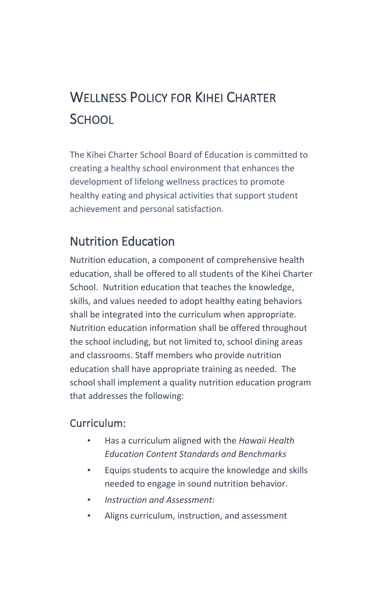# WELLNESS POLICY FOR KIHEI CHARTER **SCHOOL**

The Kihei Charter School Board of Education is committed to creating a healthy school environment that enhances the development of lifelong wellness practices to promote healthy eating and physical activities that support student achievement and personal satisfaction.

## Nutrition Education

Nutrition education, a component of comprehensive health education, shall be offered to all students of the Kihei Charter School. Nutrition education that teaches the knowledge, skills, and values needed to adopt healthy eating behaviors shall be integrated into the curriculum when appropriate. Nutrition education information shall be offered throughout the school including, but not limited to, school dining areas and classrooms. Staff members who provide nutrition education shall have appropriate training as needed. The school shall implement a quality nutrition education program that addresses the following:

### Curriculum:

- Has a curriculum aligned with the *Hawaii Health Education Content Standards and Benchmarks*
- Equips students to acquire the knowledge and skills needed to engage in sound nutrition behavior.
- *Instruction and Assessment:*
- Aligns curriculum, instruction, and assessment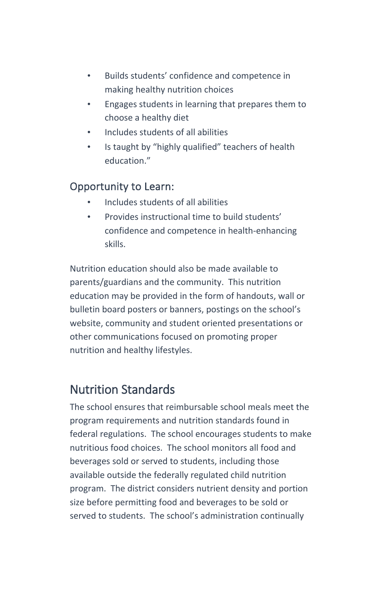- Builds students' confidence and competence in making healthy nutrition choices
- Engages students in learning that prepares them to choose a healthy diet
- Includes students of all abilities
- Is taught by "highly qualified" teachers of health education<sup>"</sup>

### Opportunity to Learn:

- Includes students of all abilities
- Provides instructional time to build students' confidence and competence in health-enhancing skills.

Nutrition education should also be made available to parents/guardians and the community. This nutrition education may be provided in the form of handouts, wall or bulletin board posters or banners, postings on the school's website, community and student oriented presentations or other communications focused on promoting proper nutrition and healthy lifestyles.

# Nutrition Standards

The school ensures that reimbursable school meals meet the program requirements and nutrition standards found in federal regulations. The school encourages students to make nutritious food choices. The school monitors all food and beverages sold or served to students, including those available outside the federally regulated child nutrition program. The district considers nutrient density and portion size before permitting food and beverages to be sold or served to students. The school's administration continually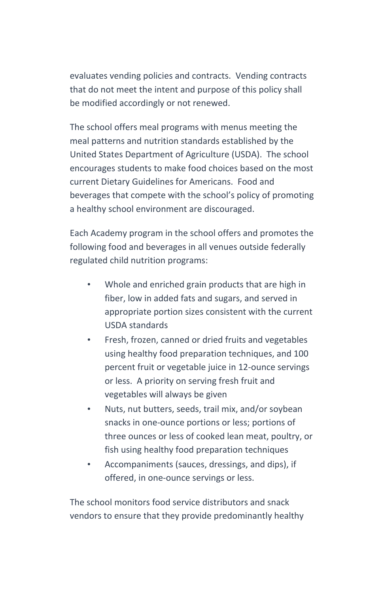evaluates vending policies and contracts. Vending contracts that do not meet the intent and purpose of this policy shall be modified accordingly or not renewed.

The school offers meal programs with menus meeting the meal patterns and nutrition standards established by the United States Department of Agriculture (USDA). The school encourages students to make food choices based on the most current Dietary Guidelines for Americans. Food and beverages that compete with the school's policy of promoting a healthy school environment are discouraged.

Each Academy program in the school offers and promotes the following food and beverages in all venues outside federally regulated child nutrition programs:

- Whole and enriched grain products that are high in fiber, low in added fats and sugars, and served in appropriate portion sizes consistent with the current USDA standards
- Fresh, frozen, canned or dried fruits and vegetables using healthy food preparation techniques, and 100 percent fruit or vegetable juice in 12-ounce servings or less. A priority on serving fresh fruit and vegetables will always be given
- Nuts, nut butters, seeds, trail mix, and/or soybean snacks in one-ounce portions or less; portions of three ounces or less of cooked lean meat, poultry, or fish using healthy food preparation techniques
- Accompaniments (sauces, dressings, and dips), if offered, in one-ounce servings or less.

The school monitors food service distributors and snack vendors to ensure that they provide predominantly healthy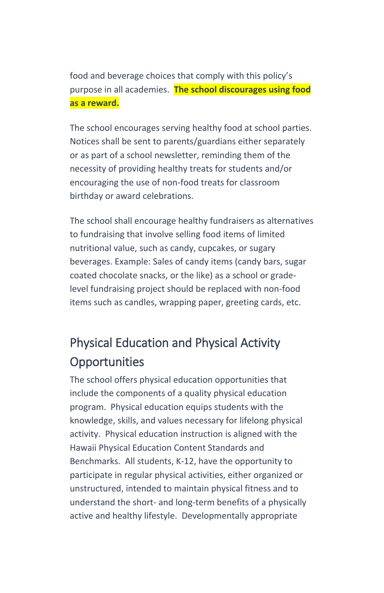food and beverage choices that comply with this policy's purpose in all academies. **The school discourages using food as a reward.**

The school encourages serving healthy food at school parties. Notices shall be sent to parents/guardians either separately or as part of a school newsletter, reminding them of the necessity of providing healthy treats for students and/or encouraging the use of non-food treats for classroom birthday or award celebrations.

The school shall encourage healthy fundraisers as alternatives to fundraising that involve selling food items of limited nutritional value, such as candy, cupcakes, or sugary beverages. Example: Sales of candy items (candy bars, sugar coated chocolate snacks, or the like) as a school or gradelevel fundraising project should be replaced with non-food items such as candles, wrapping paper, greeting cards, etc.

# Physical Education and Physical Activity **Opportunities**

The school offers physical education opportunities that include the components of a quality physical education program. Physical education equips students with the knowledge, skills, and values necessary for lifelong physical activity. Physical education instruction is aligned with the Hawaii Physical Education Content Standards and Benchmarks. All students, K-12, have the opportunity to participate in regular physical activities, either organized or unstructured, intended to maintain physical fitness and to understand the short- and long-term benefits of a physically active and healthy lifestyle. Developmentally appropriate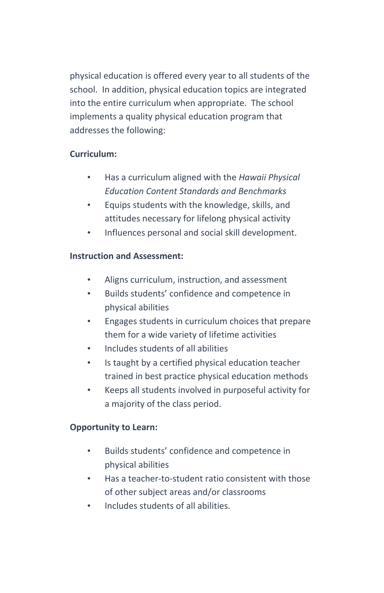physical education is offered every year to all students of the school. In addition, physical education topics are integrated into the entire curriculum when appropriate. The school implements a quality physical education program that addresses the following:

#### **Curriculum:**

- Has a curriculum aligned with the *Hawaii Physical Education Content Standards and Benchmarks*
- Equips students with the knowledge, skills, and attitudes necessary for lifelong physical activity
- Influences personal and social skill development.

#### **Instruction and Assessment:**

- Aligns curriculum, instruction, and assessment
- Builds students' confidence and competence in physical abilities
- Engages students in curriculum choices that prepare them for a wide variety of lifetime activities
- Includes students of all abilities
- Is taught by a certified physical education teacher trained in best practice physical education methods
- Keeps all students involved in purposeful activity for a majority of the class period.

#### **Opportunity to Learn:**

- Builds students' confidence and competence in physical abilities
- Has a teacher-to-student ratio consistent with those of other subject areas and/or classrooms
- Includes students of all abilities.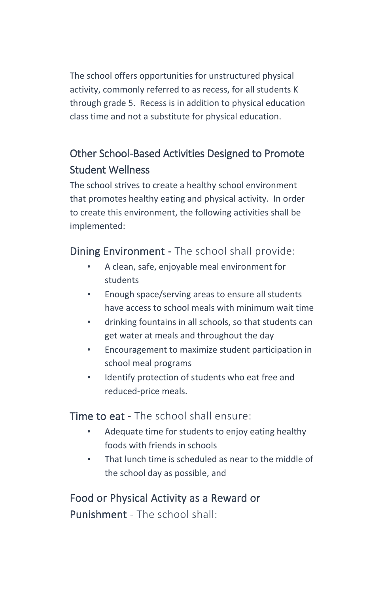The school offers opportunities for unstructured physical activity, commonly referred to as recess, for all students K through grade 5. Recess is in addition to physical education class time and not a substitute for physical education.

### Other School-Based Activities Designed to Promote Student Wellness

The school strives to create a healthy school environment that promotes healthy eating and physical activity. In order to create this environment, the following activities shall be implemented:

Dining Environment - The school shall provide:

- A clean, safe, enjoyable meal environment for students
- Enough space/serving areas to ensure all students have access to school meals with minimum wait time
- drinking fountains in all schools, so that students can get water at meals and throughout the day
- Encouragement to maximize student participation in school meal programs
- Identify protection of students who eat free and reduced-price meals.

**Time to eat** - The school shall ensure:

- Adequate time for students to enjoy eating healthy foods with friends in schools
- That lunch time is scheduled as near to the middle of the school day as possible, and

Food or Physical Activity as a Reward or Punishment - The school shall: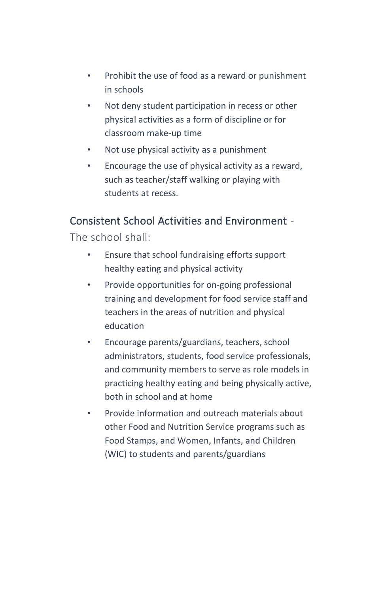- Prohibit the use of food as a reward or punishment in schools
- Not deny student participation in recess or other physical activities as a form of discipline or for classroom make-up time
- Not use physical activity as a punishment
- Encourage the use of physical activity as a reward, such as teacher/staff walking or playing with students at recess.

### Consistent School Activities and Environment -

The school shall:

- Ensure that school fundraising efforts support healthy eating and physical activity
- Provide opportunities for on-going professional training and development for food service staff and teachers in the areas of nutrition and physical education
- Encourage parents/guardians, teachers, school administrators, students, food service professionals, and community members to serve as role models in practicing healthy eating and being physically active, both in school and at home
- Provide information and outreach materials about other Food and Nutrition Service programs such as Food Stamps, and Women, Infants, and Children (WIC) to students and parents/guardians